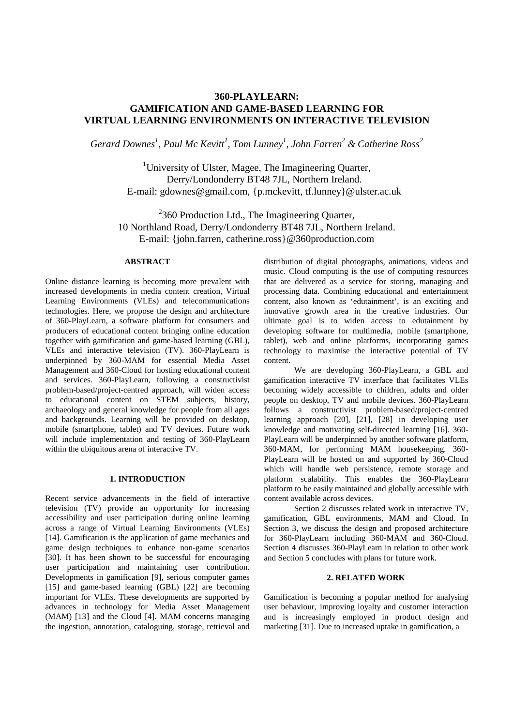# **360-PLAYLEARN: GAMIFICATION AND GAME-BASED LEARNING FOR VIRTUAL LEARNING ENVIRONMENTS ON INTERACTIVE TELEVISION**

*Gerard Downes<sup>1</sup> , Paul Mc Kevitt<sup>1</sup> , Tom Lunney<sup>1</sup> , John Farren<sup>2</sup> & Catherine Ross<sup>2</sup>*

<sup>1</sup>University of Ulster, Magee, The Imagineering Quarter, Derry/Londonderry BT48 7JL, Northern Ireland. E-mail: gdownes@gmail.com, {p.mckevitt, tf.lunney}@ulster.ac.uk

 $2360$  Production Ltd., The Imagineering Quarter, 10 Northland Road, Derry/Londonderry BT48 7JL, Northern Ireland. E-mail: {john.farren, catherine.ross}@360production.com

# **ABSTRACT**

Online distance learning is becoming more prevalent with increased developments in media content creation, Virtual Learning Environments (VLEs) and telecommunications technologies. Here, we propose the design and architecture of 360-PlayLearn, a software platform for consumers and producers of educational content bringing online education together with gamification and game-based learning (GBL), VLEs and interactive television (TV). 360-PlayLearn is underpinned by 360-MAM for essential Media Asset Management and 360-Cloud for hosting educational content and services. 360-PlayLearn, following a constructivist problem-based/project-centred approach, will widen access to educational content on STEM subjects, history, archaeology and general knowledge for people from all ages and backgrounds. Learning will be provided on desktop, mobile (smartphone, tablet) and TV devices. Future work will include implementation and testing of 360-PlayLearn within the ubiquitous arena of interactive TV.

# **1. INTRODUCTION**

Recent service advancements in the field of interactive television (TV) provide an opportunity for increasing accessibility and user participation during online learning across a range of Virtual Learning Environments (VLEs) [14]. Gamification is the application of game mechanics and game design techniques to enhance non-game scenarios [30]. It has been shown to be successful for encouraging user participation and maintaining user contribution. Developments in gamification [9], serious computer games [15] and game-based learning (GBL) [22] are becoming important for VLEs. These developments are supported by advances in technology for Media Asset Management (MAM) [13] and the Cloud [4]. MAM concerns managing the ingestion, annotation, cataloguing, storage, retrieval and

distribution of digital photographs, animations, videos and music. Cloud computing is the use of computing resources that are delivered as a service for storing, managing and processing data. Combining educational and entertainment content, also known as 'edutainment', is an exciting and innovative growth area in the creative industries. Our ultimate goal is to widen access to edutainment by developing software for multimedia, mobile (smartphone, tablet), web and online platforms, incorporating games technology to maximise the interactive potential of TV content.

We are developing 360-PlayLearn, a GBL and gamification interactive TV interface that facilitates VLEs becoming widely accessible to children, adults and older people on desktop, TV and mobile devices. 360-PlayLearn follows a constructivist problem-based/project-centred learning approach [20], [21], [28] in developing user knowledge and motivating self-directed learning [16]. 360- PlayLearn will be underpinned by another software platform, 360-MAM, for performing MAM housekeeping. 360- PlayLearn will be hosted on and supported by 360-Cloud which will handle web persistence, remote storage and platform scalability. This enables the 360-PlayLearn platform to be easily maintained and globally accessible with content available across devices.

Section 2 discusses related work in interactive TV, gamification, GBL environments, MAM and Cloud. In Section 3, we discuss the design and proposed architecture for 360-PlayLearn including 360-MAM and 360-Cloud. Section 4 discusses 360-PlayLearn in relation to other work and Section 5 concludes with plans for future work.

#### **2. RELATED WORK**

Gamification is becoming a popular method for analysing user behaviour, improving loyalty and customer interaction and is increasingly employed in product design and marketing [31]. Due to increased uptake in gamification, a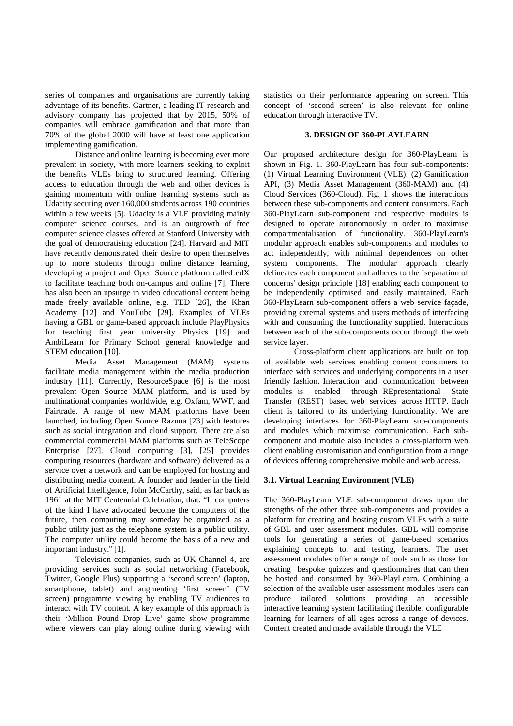series of companies and organisations are currently taking advantage of its benefits. Gartner, a leading IT research and advisory company has projected that by 2015, 50% of companies will embrace gamification and that more than 70% of the global 2000 will have at least one application implementing gamification.

Distance and online learning is becoming ever more prevalent in society, with more learners seeking to exploit the benefits VLEs bring to structured learning. Offering access to education through the web and other devices is gaining momentum with online learning systems such as Udacity securing over 160,000 students across 190 countries within a few weeks [5]. Udacity is a VLE providing mainly computer science courses, and is an outgrowth of free computer science classes offered at Stanford University with the goal of democratising education [24]. Harvard and MIT have recently demonstrated their desire to open themselves up to more students through online distance learning, developing a project and Open Source platform called edX to facilitate teaching both on-campus and online [7]. There has also been an upsurge in video educational content being made freely available online, e.g. TED [26], the Khan Academy [12] and YouTube [29]. Examples of VLEs having a GBL or game-based approach include PlayPhysics for teaching first year university Physics [19] and AmbiLearn for Primary School general knowledge and STEM education [10].

Media Asset Management (MAM) systems facilitate media management within the media production industry [11]. Currently, ResourceSpace [6] is the most prevalent Open Source MAM platform, and is used by multinational companies worldwide, e.g. Oxfam, WWF, and Fairtrade. A range of new MAM platforms have been launched, including Open Source Razuna [23] with features such as social integration and cloud support. There are also commercial commercial MAM platforms such as TeleScope Enterprise [27]. Cloud computing [3], [25] provides computing resources (hardware and software) delivered as a service over a network and can be employed for hosting and distributing media content. A founder and leader in the field of Artificial Intelligence, John McCarthy, said, as far back as 1961 at the MIT Centennial Celebration, that: "If computers of the kind I have advocated become the computers of the future, then computing may someday be organized as a public utility just as the telephone system is a public utility. The computer utility could become the basis of a new and important industry.'' [1].

Television companies, such as UK Channel 4, are providing services such as social networking (Facebook, Twitter, Google Plus) supporting a 'second screen' (laptop, smartphone, tablet) and augmenting 'first screen' (TV screen) programme viewing by enabling TV audiences to interact with TV content. A key example of this approach is their 'Million Pound Drop Live' game show programme where viewers can play along online during viewing with statistics on their performance appearing on screen. Thi**s** concept of 'second screen' is also relevant for online education through interactive TV.

### **3. DESIGN OF 360-PLAYLEARN**

Our proposed architecture design for 360-PlayLearn is shown in Fig. 1. 360-PlayLearn has four sub-components: (1) Virtual Learning Environment (VLE), (2) Gamification API, (3) Media Asset Management (360-MAM) and (4) Cloud Services (360-Cloud). Fig. 1 shows the interactions between these sub-components and content consumers. Each 360-PlayLearn sub-component and respective modules is designed to operate autonomously in order to maximise compartmentalisation of functionality. 360-PlayLearn's modular approach enables sub-components and modules to act independently, with minimal dependences on other system components. The modular approach clearly delineates each component and adheres to the `separation of concerns' design principle [18] enabling each component to be independently optimised and easily maintained. Each 360-PlayLearn sub-component offers a web service façade, providing external systems and users methods of interfacing with and consuming the functionality supplied. Interactions between each of the sub-components occur through the web service layer.

Cross-platform client applications are built on top of available web services enabling content consumers to interface with services and underlying components in a user friendly fashion. Interaction and communication between modules is enabled through REpresentational State Transfer (REST) based web services across HTTP. Each client is tailored to its underlying functionality. We are developing interfaces for 360-PlayLearn sub-components and modules which maximise communication. Each subcomponent and module also includes a cross-platform web client enabling customisation and configuration from a range of devices offering comprehensive mobile and web access.

# **3.1. Virtual Learning Environment (VLE)**

The 360-PlayLearn VLE sub-component draws upon the strengths of the other three sub-components and provides a platform for creating and hosting custom VLEs with a suite of GBL and user assessment modules. GBL will comprise tools for generating a series of game-based scenarios explaining concepts to, and testing, learners. The user assessment modules offer a range of tools such as those for creating bespoke quizzes and questionnaires that can then be hosted and consumed by 360-PlayLearn. Combining a selection of the available user assessment modules users can produce tailored solutions providing an accessible interactive learning system facilitating flexible, configurable learning for learners of all ages across a range of devices. Content created and made available through the VLE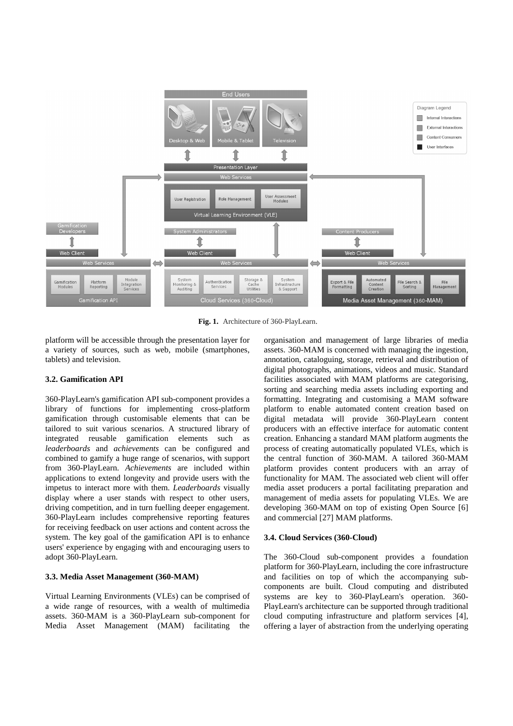

**Fig. 1.** Architecture of 360-PlayLearn.

platform will be accessible through the presentation layer for a variety of sources, such as web, mobile (smartphones, tablets) and television.

#### **3.2. Gamification API**

360-PlayLearn's gamification API sub-component provides a library of functions for implementing cross-platform gamification through customisable elements that can be tailored to suit various scenarios. A structured library of integrated reusable gamification elements such as *leaderboards* and *achievements* can be configured and combined to gamify a huge range of scenarios, with support from 360-PlayLearn. *Achievements* are included within applications to extend longevity and provide users with the impetus to interact more with them. *Leaderboards* visually display where a user stands with respect to other users, driving competition, and in turn fuelling deeper engagement. 360-PlayLearn includes comprehensive reporting features for receiving feedback on user actions and content across the system. The key goal of the gamification API is to enhance users' experience by engaging with and encouraging users to adopt 360-PlayLearn.

#### **3.3. Media Asset Management (360-MAM)**

Virtual Learning Environments (VLEs) can be comprised of a wide range of resources, with a wealth of multimedia assets. 360-MAM is a 360-PlayLearn sub-component for Media Asset Management (MAM) facilitating the

organisation and management of large libraries of media assets. 360-MAM is concerned with managing the ingestion, annotation, cataloguing, storage, retrieval and distribution of digital photographs, animations, videos and music. Standard facilities associated with MAM platforms are categorising, sorting and searching media assets including exporting and formatting. Integrating and customising a MAM software platform to enable automated content creation based on digital metadata will provide 360-PlayLearn content producers with an effective interface for automatic content creation. Enhancing a standard MAM platform augments the process of creating automatically populated VLEs, which is the central function of 360-MAM. A tailored 360-MAM platform provides content producers with an array of functionality for MAM. The associated web client will offer media asset producers a portal facilitating preparation and management of media assets for populating VLEs. We are developing 360-MAM on top of existing Open Source [6] and commercial [27] MAM platforms.

#### **3.4. Cloud Services (360-Cloud)**

The 360-Cloud sub-component provides a foundation platform for 360-PlayLearn, including the core infrastructure and facilities on top of which the accompanying subcomponents are built. Cloud computing and distributed systems are key to 360-PlayLearn's operation. 360- PlayLearn's architecture can be supported through traditional cloud computing infrastructure and platform services [4], offering a layer of abstraction from the underlying operating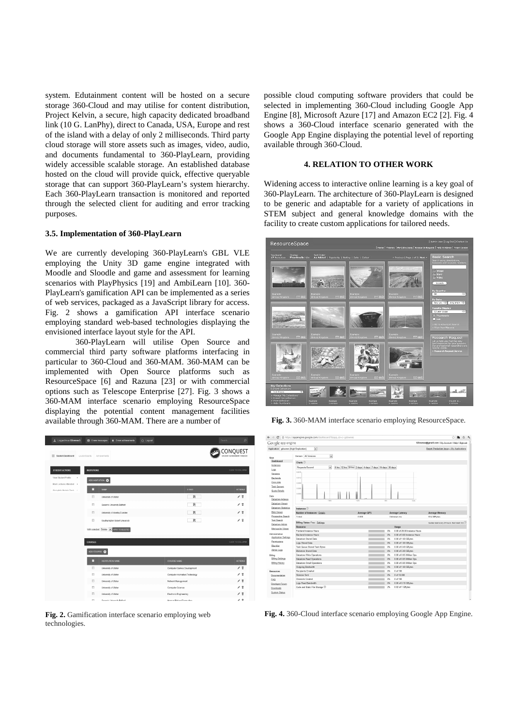system. Edutainment content will be hosted on a secure storage 360-Cloud and may utilise for content distribution, Project Kelvin, a secure, high capacity dedicated broadband link (10 G. LanPhy), direct to Canada, USA, Europe and rest of the island with a delay of only 2 milliseconds. Third party cloud storage will store assets such as images, video, audio, and documents fundamental to 360-PlayLearn, providing widely accessible scalable storage. An established database hosted on the cloud will provide quick, effective queryable storage that can support 360-PlayLearn's system hierarchy. Each 360-PlayLearn transaction is monitored and reported through the selected client for auditing and error tracking purposes.

## **3.5. Implementation of 360-PlayLearn**

We are currently developing 360-PlayLearn's GBL VLE employing the Unity 3D game engine integrated with Moodle and Sloodle and game and assessment for learning scenarios with PlayPhysics [19] and AmbiLearn [10]. 360- PlayLearn's gamification API can be implemented as a series of web services, packaged as a JavaScript library for access. Fig. 2 shows a gamification API interface scenario employing standard web-based technologies displaying the envisioned interface layout style for the API.

360-PlayLearn will utilise Open Source and commercial third party software platforms interfacing in particular to 360-Cloud and 360-MAM. 360-MAM can be implemented with Open Source platforms such as ResourceSpace [6] and Razuna [23] or with commercial options such as Telescope Enterprise [27]. Fig. 3 shows a 360-MAM interface scenario employing ResourceSpace displaying the potential content management facilities available through 360-MAM. There are a number of

| Logged in as GDownesS                              | 图 Onew messages    | $\bigstar$ 0 new achievements             | (!) Log cut |                               | $\circ$<br>Search.                      |
|----------------------------------------------------|--------------------|-------------------------------------------|-------------|-------------------------------|-----------------------------------------|
| <b>Millie Student Dashboard</b><br>Leaderboards    |                    | Achievemento                              |             | الممتة                        | CONQUEST<br>STUDENT ACHIEVEMENT TRACKER |
| STUDENT ACTIONS                                    | <b>INSITUTIONS</b> |                                           |             |                               | CLICK TO COLLAPSE                       |
| View Student Profile<br>$\lambda$                  |                    | ADD INSITUTION O                          |             |                               |                                         |
| Mark Lectures Atlended ><br>Complete Module Task > | ▫                  | NAME                                      |             | <b>LOGO</b>                   | <b>ACTIONS</b>                          |
|                                                    | ₿                  | University of Ulster                      |             | 図                             | / 8                                     |
|                                                    | 凹                  | Queen's University Belfast                |             | 國                             | 15                                      |
|                                                    | 目                  | University of Abertay Dundee              |             | 図                             | ノミ                                      |
|                                                    | B                  | Southampton Solent University             |             | 國                             | ∕ 5                                     |
|                                                    |                    | With selected: Delete   APPLY TO SELECTED |             |                               |                                         |
|                                                    | <b>COURSES</b>     |                                           |             |                               | CLICK TO COLLAPSE                       |
|                                                    |                    |                                           |             |                               |                                         |
|                                                    | ADO COURSE @       |                                           |             |                               |                                         |
|                                                    | п                  | INSTITUTION NAME                          |             | <b>COURSE NAME</b>            | <b>ACTIONS</b>                          |
|                                                    | B                  | University of Ulster                      |             | Computer Games Development    | / 5                                     |
|                                                    | B                  | University of Ulster                      |             | Computer Animation Technology | / 5                                     |
|                                                    | E                  | University of Ulster                      |             | Network Management            | ∕ 5                                     |
|                                                    | B                  | University of Ulster                      |             | Computer Science              | 言<br>ℐ                                  |
|                                                    | ₿                  | University of Ulster                      |             | Electronic Engineering        | 言<br>i<br>A 5                           |
|                                                    | $\mathbb{R}^n$     | Ouverty University Rollers                |             | Warrow Birdow Memoritian      |                                         |

**Fig. 2.** Gamification interface scenario employing web technologies.

possible cloud computing software providers that could be selected in implementing 360-Cloud including Google App Engine [8], Microsoft Azure [17] and Amazon EC2 [2]. Fig. 4 shows a 360-Cloud interface scenario generated with the Google App Engine displaying the potential level of reporting available through 360-Cloud.

#### **4. RELATION TO OTHER WORK**

Widening access to interactive online learning is a key goal of 360-PlayLearn. The architecture of 360-PlayLearn is designed to be generic and adaptable for a variety of applications in STEM subject and general knowledge domains with the facility to create custom applications for tailored needs.



**Fig. 3.** 360-MAM interface scenario employing ResourceSpace.

| Google app engine                                                                                                                                                                                                    |                                         |                                                          |          |                               | GDownes@gmail.com   My Account   Help   Sign out |
|----------------------------------------------------------------------------------------------------------------------------------------------------------------------------------------------------------------------|-----------------------------------------|----------------------------------------------------------|----------|-------------------------------|--------------------------------------------------|
| Application: gdownes [High Replication]                                                                                                                                                                              | $\overline{\phantom{0}}$                |                                                          |          |                               | Report Production Issue < My Applications        |
| Main                                                                                                                                                                                                                 | $\vert$<br>Version: All Versions        |                                                          |          |                               |                                                  |
| Dashboard                                                                                                                                                                                                            | Charts <sup>(2)</sup>                   |                                                          |          |                               |                                                  |
| Instances                                                                                                                                                                                                            | Requests/Second                         |                                                          |          |                               |                                                  |
| Logs                                                                                                                                                                                                                 | $\vert \cdot \vert$                     | 6 hrs 12 hrs 24 hrs 2 days 4 days 7 days 14 days 30 days |          |                               |                                                  |
| <b>Versions</b>                                                                                                                                                                                                      | $0.015 -$                               |                                                          |          |                               |                                                  |
| <b>Backends</b>                                                                                                                                                                                                      | 0.015                                   |                                                          |          |                               |                                                  |
| Cron Jobs                                                                                                                                                                                                            | 0.000                                   |                                                          |          |                               |                                                  |
| <b>Task Queues</b>                                                                                                                                                                                                   |                                         |                                                          |          |                               |                                                  |
| Quota Details                                                                                                                                                                                                        | 0.006                                   |                                                          |          |                               |                                                  |
| Data                                                                                                                                                                                                                 | 0.003                                   |                                                          |          |                               |                                                  |
| <b>Datastore Indexes</b>                                                                                                                                                                                             |                                         |                                                          |          |                               |                                                  |
| Datastore Viewer                                                                                                                                                                                                     | $-1d$<br>$-100$                         | .10%                                                     | n.       | Parties                       |                                                  |
| Datastore Statistics                                                                                                                                                                                                 | Instances (?)                           |                                                          |          |                               |                                                  |
| <b>Blob Viewer</b>                                                                                                                                                                                                   | Number of Instances - Details           | <b>Average QPS</b>                                       |          | Average Latency               |                                                  |
|                                                                                                                                                                                                                      |                                         |                                                          |          |                               | <b>Average Memory</b>                            |
|                                                                                                                                                                                                                      |                                         |                                                          |          |                               |                                                  |
|                                                                                                                                                                                                                      | 1 total                                 | 0.000                                                    |          | Unknown ms                    | 60.4 MB des                                      |
|                                                                                                                                                                                                                      | Billing Status: Free - Settings         |                                                          |          |                               |                                                  |
|                                                                                                                                                                                                                      | Resource                                |                                                          |          | Usage                         |                                                  |
|                                                                                                                                                                                                                      | <b>Frontend Instance Hours</b>          |                                                          | 0%       | 0.00 of 28.00 lestance Hours  |                                                  |
|                                                                                                                                                                                                                      | Backend Instance Hours                  |                                                          | 0%       | 0.00 of 9.00 Instance Hours   |                                                  |
|                                                                                                                                                                                                                      | <b>Datastore Stored Data</b>            |                                                          | 0%       | 0.00 of 1.00 GBvtes           |                                                  |
|                                                                                                                                                                                                                      | Logs Stored Data                        |                                                          | C/G      | 0.00 of 1.00 GB Ass           |                                                  |
|                                                                                                                                                                                                                      | Task Queue Stored Task Bytes            |                                                          | 0%       | 0.00 of 0.49 GBytes           |                                                  |
|                                                                                                                                                                                                                      | <b>Blobstore Stored Data</b>            |                                                          | 0%       | 0.00 of 5.00 GBytes           |                                                  |
|                                                                                                                                                                                                                      | Datastore Write Operations              |                                                          | 0%       | 0.00 of 0.05 Million Ops      |                                                  |
| Prospective Search<br><b>Text Search</b><br><b>Datastore Admin</b><br>Memcache Viewer<br>Administration<br>Application Settings<br>Permissions<br><b>Riaricist</b><br>Admin Logs<br>Biling<br><b>Biling Settings</b> | <b>Datastore Read Operations</b>        |                                                          | 0%       | 0.00 of 0.05 Million Ops      | Quotas reset every 24 hours. Next reset hrs      |
| <b>Biling History</b>                                                                                                                                                                                                | Datastore Small Operations              |                                                          | 0%       | 0.00 of 0.05 Million Ops      |                                                  |
|                                                                                                                                                                                                                      | Outgoing Bandwidth                      |                                                          | 0%       | 0.00 of 1.00 GBytes           |                                                  |
|                                                                                                                                                                                                                      | Recipients Emailed                      |                                                          | 0%       | 0 of 100                      |                                                  |
|                                                                                                                                                                                                                      | Stanzas Sent                            |                                                          | C/G      | 0 of 10.000                   |                                                  |
| Resources<br>Documentation<br>EAQ<br>Developer Forum                                                                                                                                                                 | Channels Created<br>Logs Read Bandwidth |                                                          | 0%<br>0% | 0ef100<br>0.00 of 0.10 GBvtes |                                                  |

**Fig. 4.** 360-Cloud interface scenario employing Google App Engine.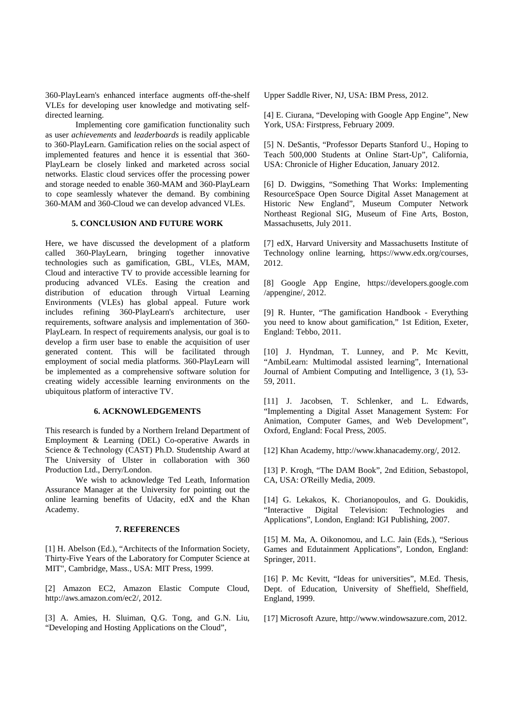360-PlayLearn's enhanced interface augments off-the-shelf VLEs for developing user knowledge and motivating selfdirected learning.

Implementing core gamification functionality such as user *achievements* and *leaderboards* is readily applicable to 360-PlayLearn. Gamification relies on the social aspect of implemented features and hence it is essential that 360- PlayLearn be closely linked and marketed across social networks. Elastic cloud services offer the processing power and storage needed to enable 360-MAM and 360-PlayLearn to cope seamlessly whatever the demand. By combining 360-MAM and 360-Cloud we can develop advanced VLEs.

### **5. CONCLUSION AND FUTURE WORK**

Here, we have discussed the development of a platform called 360-PlayLearn, bringing together innovative technologies such as gamification, GBL, VLEs, MAM, Cloud and interactive TV to provide accessible learning for producing advanced VLEs. Easing the creation and distribution of education through Virtual Learning Environments (VLEs) has global appeal. Future work includes refining 360-PlayLearn's architecture, user requirements, software analysis and implementation of 360- PlayLearn. In respect of requirements analysis, our goal is to develop a firm user base to enable the acquisition of user generated content. This will be facilitated through employment of social media platforms. 360-PlayLearn will be implemented as a comprehensive software solution for creating widely accessible learning environments on the ubiquitous platform of interactive TV.

#### **6. ACKNOWLEDGEMENTS**

This research is funded by a Northern Ireland Department of Employment & Learning (DEL) Co-operative Awards in Science & Technology (CAST) Ph.D. Studentship Award at The University of Ulster in collaboration with 360 Production Ltd., Derry/London.

 We wish to acknowledge Ted Leath, Information Assurance Manager at the University for pointing out the online learning benefits of Udacity, edX and the Khan Academy.

#### **7. REFERENCES**

[1] H. Abelson (Ed.), "Architects of the Information Society, Thirty-Five Years of the Laboratory for Computer Science at MIT", Cambridge, Mass., USA: MIT Press, 1999.

[2] Amazon EC2, Amazon Elastic Compute Cloud, http://aws.amazon.com/ec2/, 2012.

[3] A. Amies, H. Sluiman, Q.G. Tong, and G.N. Liu, "Developing and Hosting Applications on the Cloud",

Upper Saddle River, NJ, USA: IBM Press, 2012.

[4] E. Ciurana, "Developing with Google App Engine", New York, USA: Firstpress, February 2009.

[5] N. DeSantis, "Professor Departs Stanford U., Hoping to Teach 500,000 Students at Online Start-Up", California, USA: Chronicle of Higher Education, January 2012.

[6] D. Dwiggins, "Something That Works: Implementing ResourceSpace Open Source Digital Asset Management at Historic New England", Museum Computer Network Northeast Regional SIG, Museum of Fine Arts, Boston, Massachusetts, July 2011.

[7] edX, Harvard University and Massachusetts Institute of Technology online learning, https://www.edx.org/courses, 2012.

[8] Google App Engine, https://developers.google.com /appengine/, 2012.

[9] R. Hunter, "The gamification Handbook - Everything you need to know about gamification," 1st Edition, Exeter, England: Tebbo, 2011.

[10] J. Hyndman, T. Lunney, and P. Mc Kevitt, "AmbiLearn: Multimodal assisted learning", International Journal of Ambient Computing and Intelligence, 3 (1), 53- 59, 2011.

[11] J. Jacobsen, T. Schlenker, and L. Edwards, "Implementing a Digital Asset Management System: For Animation, Computer Games, and Web Development", Oxford, England: Focal Press, 2005.

[12] Khan Academy, http://www.khanacademy.org/, 2012.

[13] P. Krogh, "The DAM Book", 2nd Edition, Sebastopol, CA, USA: O'Reilly Media, 2009.

[14] G. Lekakos, K. Chorianopoulos, and G. Doukidis, "Interactive Digital Television: Technologies and Applications", London, England: IGI Publishing, 2007.

[15] M. Ma, A. Oikonomou, and L.C. Jain (Eds.), "Serious Games and Edutainment Applications", London, England: Springer, 2011.

[16] P. Mc Kevitt, "Ideas for universities", M.Ed. Thesis, Dept. of Education, University of Sheffield, Sheffield, England, 1999.

[17] Microsoft Azure, http://www.windowsazure.com, 2012.